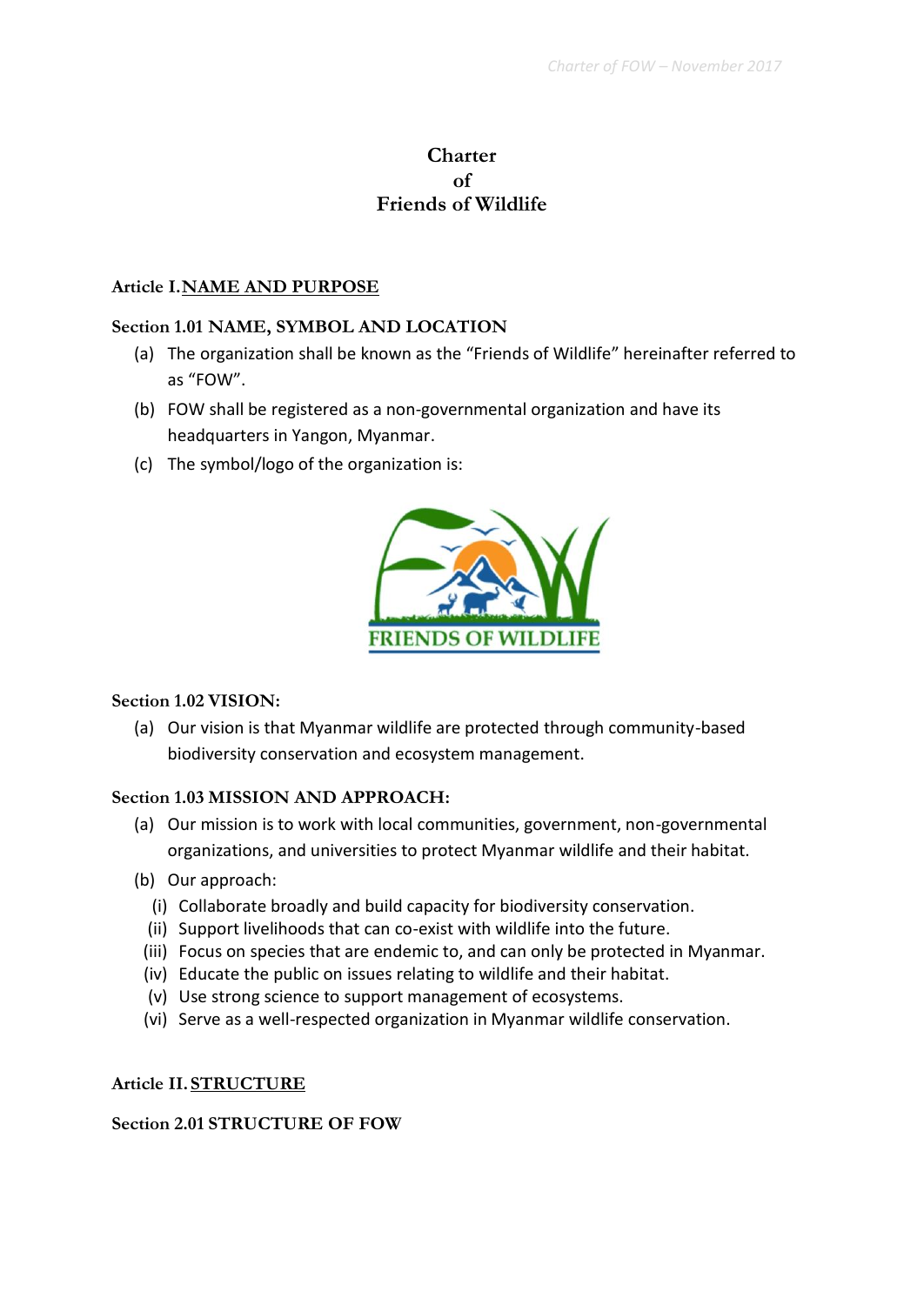# **Charter of Friends of Wildlife**

#### **Article I.NAME AND PURPOSE**

#### **Section 1.01 NAME, SYMBOL AND LOCATION**

- (a) The organization shall be known as the "Friends of Wildlife" hereinafter referred to as "FOW".
- (b) FOW shall be registered as a non-governmental organization and have its headquarters in Yangon, Myanmar.
- (c) The symbol/logo of the organization is:



#### **Section 1.02 VISION:**

(a) Our vision is that Myanmar wildlife are protected through community-based biodiversity conservation and ecosystem management.

#### **Section 1.03 MISSION AND APPROACH:**

- (a) Our mission is to work with local communities, government, non-governmental organizations, and universities to protect Myanmar wildlife and their habitat.
- (b) Our approach:
	- (i) Collaborate broadly and build capacity for biodiversity conservation.
	- (ii) Support livelihoods that can co-exist with wildlife into the future.
	- (iii) Focus on species that are endemic to, and can only be protected in Myanmar.
	- (iv) Educate the public on issues relating to wildlife and their habitat.
	- (v) Use strong science to support management of ecosystems.
	- (vi) Serve as a well-respected organization in Myanmar wildlife conservation.

#### **Article II. STRUCTURE**

# **Section 2.01 STRUCTURE OF FOW**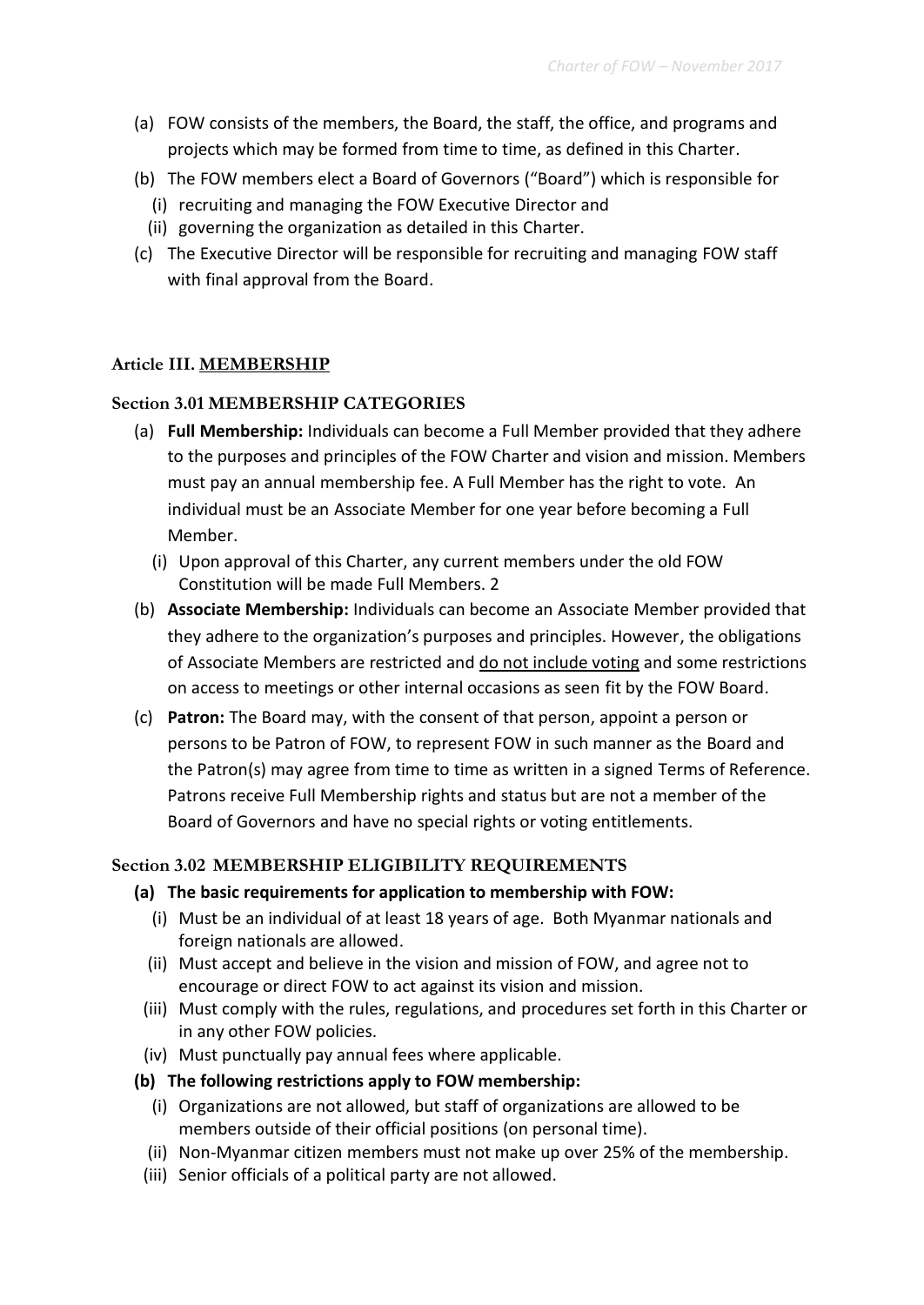- (a) FOW consists of the members, the Board, the staff, the office, and programs and projects which may be formed from time to time, as defined in this Charter.
- (b) The FOW members elect a Board of Governors ("Board") which is responsible for
	- (i) recruiting and managing the FOW Executive Director and
	- (ii) governing the organization as detailed in this Charter.
- (c) The Executive Director will be responsible for recruiting and managing FOW staff with final approval from the Board.

# **Article III. MEMBERSHIP**

# **Section 3.01 MEMBERSHIP CATEGORIES**

- (a) **Full Membership:** Individuals can become a Full Member provided that they adhere to the purposes and principles of the FOW Charter and vision and mission. Members must pay an annual membership fee. A Full Member has the right to vote. An individual must be an Associate Member for one year before becoming a Full Member.
	- (i) Upon approval of this Charter, any current members under the old FOW Constitution will be made Full Members. 2
- (b) **Associate Membership:** Individuals can become an Associate Member provided that they adhere to the organization's purposes and principles. However, the obligations of Associate Members are restricted and do not include voting and some restrictions on access to meetings or other internal occasions as seen fit by the FOW Board.
- (c) **Patron:** The Board may, with the consent of that person, appoint a person or persons to be Patron of FOW, to represent FOW in such manner as the Board and the Patron(s) may agree from time to time as written in a signed Terms of Reference. Patrons receive Full Membership rights and status but are not a member of the Board of Governors and have no special rights or voting entitlements.

# **Section 3.02 MEMBERSHIP ELIGIBILITY REQUIREMENTS**

- **(a) The basic requirements for application to membership with FOW:** 
	- (i) Must be an individual of at least 18 years of age. Both Myanmar nationals and foreign nationals are allowed.
	- (ii) Must accept and believe in the vision and mission of FOW, and agree not to encourage or direct FOW to act against its vision and mission.
	- (iii) Must comply with the rules, regulations, and procedures set forth in this Charter or in any other FOW policies.
	- (iv) Must punctually pay annual fees where applicable.
- **(b) The following restrictions apply to FOW membership:** 
	- (i) Organizations are not allowed, but staff of organizations are allowed to be members outside of their official positions (on personal time).
	- (ii) Non-Myanmar citizen members must not make up over 25% of the membership.
	- (iii) Senior officials of a political party are not allowed.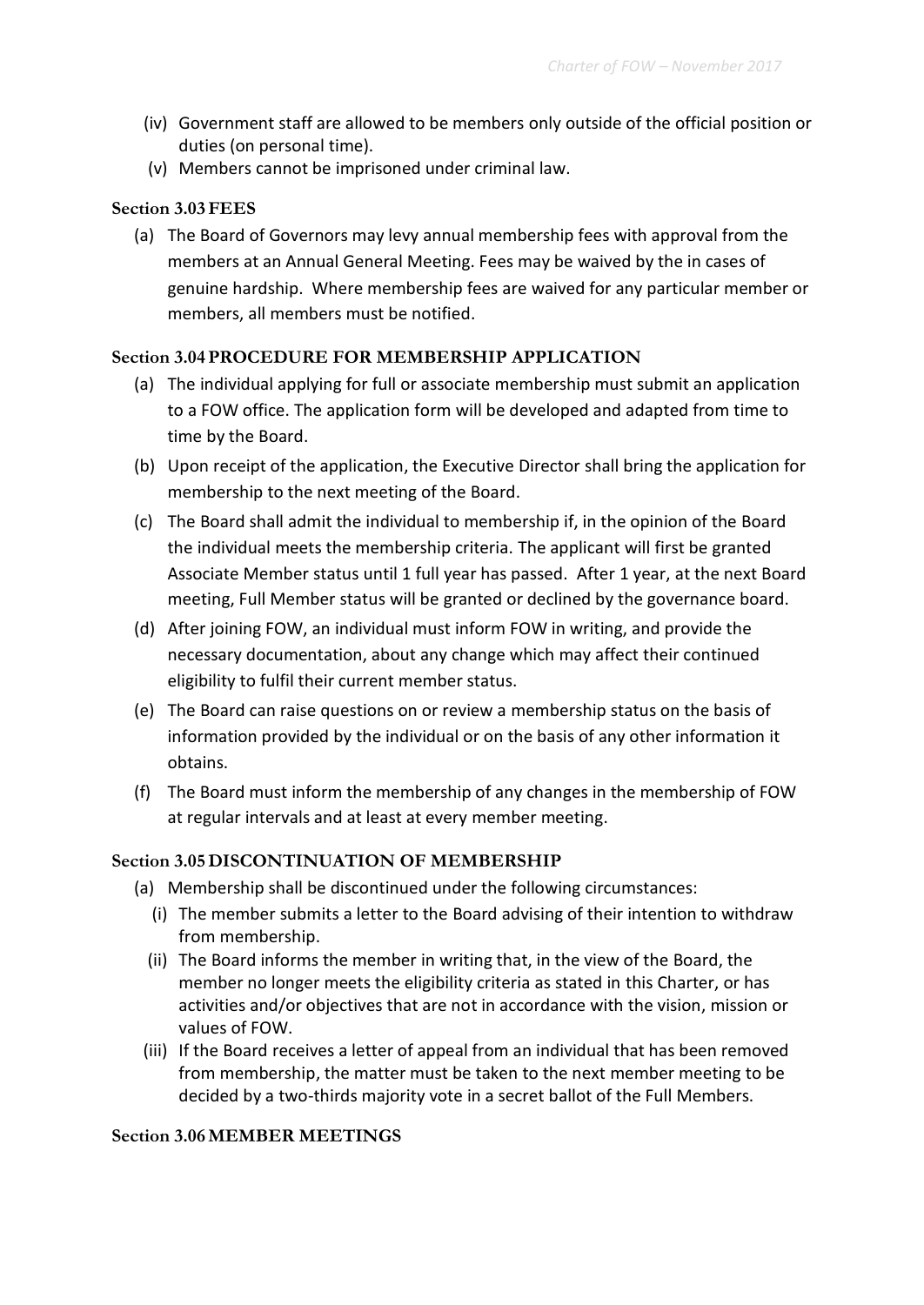- (iv) Government staff are allowed to be members only outside of the official position or duties (on personal time).
- (v) Members cannot be imprisoned under criminal law.

# **Section 3.03FEES**

(a) The Board of Governors may levy annual membership fees with approval from the members at an Annual General Meeting. Fees may be waived by the in cases of genuine hardship. Where membership fees are waived for any particular member or members, all members must be notified.

# **Section 3.04PROCEDURE FOR MEMBERSHIP APPLICATION**

- (a) The individual applying for full or associate membership must submit an application to a FOW office. The application form will be developed and adapted from time to time by the Board.
- (b) Upon receipt of the application, the Executive Director shall bring the application for membership to the next meeting of the Board.
- (c) The Board shall admit the individual to membership if, in the opinion of the Board the individual meets the membership criteria. The applicant will first be granted Associate Member status until 1 full year has passed. After 1 year, at the next Board meeting, Full Member status will be granted or declined by the governance board.
- (d) After joining FOW, an individual must inform FOW in writing, and provide the necessary documentation, about any change which may affect their continued eligibility to fulfil their current member status.
- (e) The Board can raise questions on or review a membership status on the basis of information provided by the individual or on the basis of any other information it obtains.
- (f) The Board must inform the membership of any changes in the membership of FOW at regular intervals and at least at every member meeting.

# **Section 3.05DISCONTINUATION OF MEMBERSHIP**

- (a) Membership shall be discontinued under the following circumstances:
	- (i) The member submits a letter to the Board advising of their intention to withdraw from membership.
	- (ii) The Board informs the member in writing that, in the view of the Board, the member no longer meets the eligibility criteria as stated in this Charter, or has activities and/or objectives that are not in accordance with the vision, mission or values of FOW.
	- (iii) If the Board receives a letter of appeal from an individual that has been removed from membership, the matter must be taken to the next member meeting to be decided by a two-thirds majority vote in a secret ballot of the Full Members.

# **Section 3.06MEMBER MEETINGS**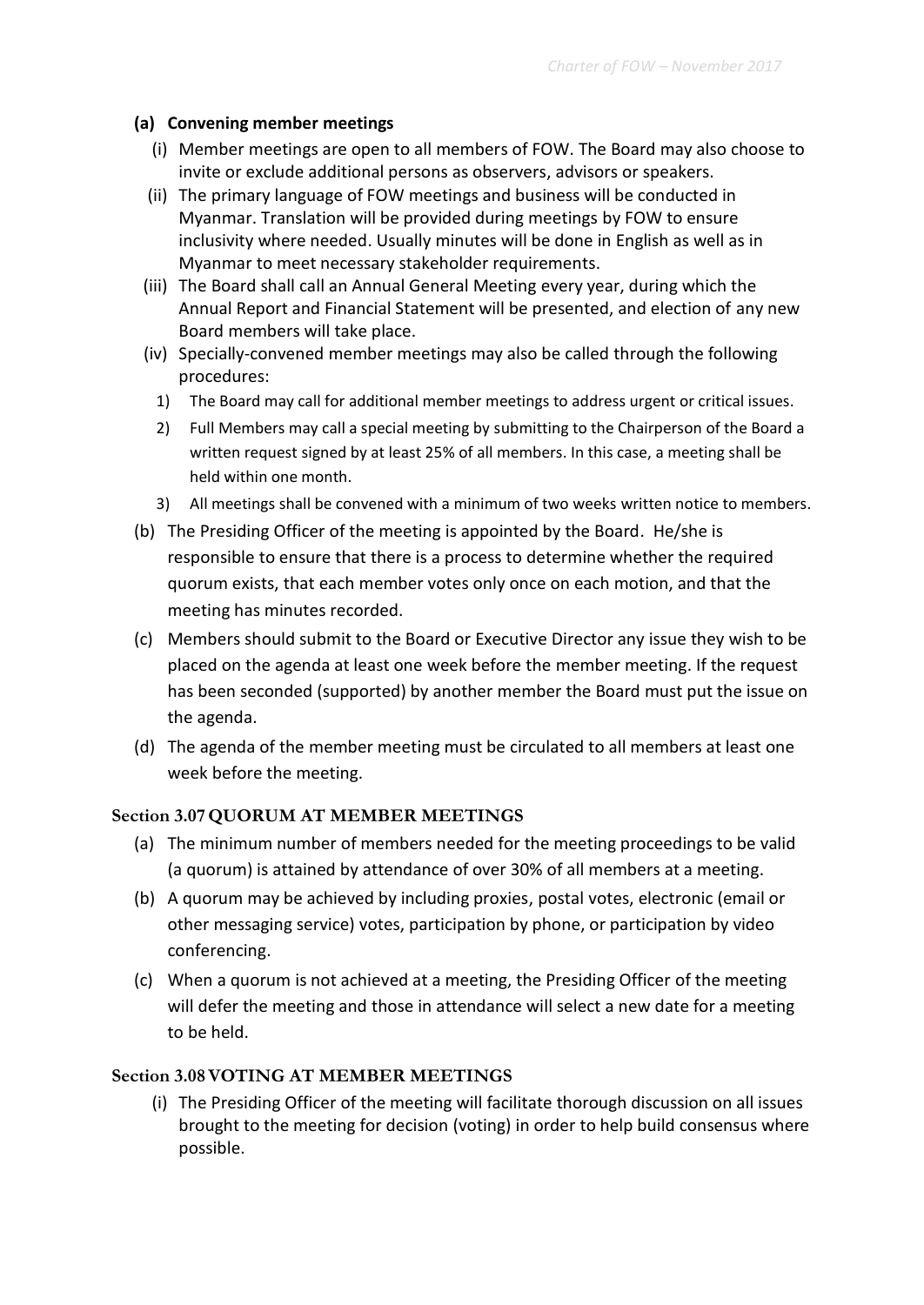#### **(a) Convening member meetings**

- (i) Member meetings are open to all members of FOW. The Board may also choose to invite or exclude additional persons as observers, advisors or speakers.
- (ii) The primary language of FOW meetings and business will be conducted in Myanmar. Translation will be provided during meetings by FOW to ensure inclusivity where needed. Usually minutes will be done in English as well as in Myanmar to meet necessary stakeholder requirements.
- (iii) The Board shall call an Annual General Meeting every year, during which the Annual Report and Financial Statement will be presented, and election of any new Board members will take place.
- (iv) Specially-convened member meetings may also be called through the following procedures:
	- 1) The Board may call for additional member meetings to address urgent or critical issues.
	- 2) Full Members may call a special meeting by submitting to the Chairperson of the Board a written request signed by at least 25% of all members. In this case, a meeting shall be held within one month.
	- 3) All meetings shall be convened with a minimum of two weeks written notice to members.
- (b) The Presiding Officer of the meeting is appointed by the Board. He/she is responsible to ensure that there is a process to determine whether the required quorum exists, that each member votes only once on each motion, and that the meeting has minutes recorded.
- (c) Members should submit to the Board or Executive Director any issue they wish to be placed on the agenda at least one week before the member meeting. If the request has been seconded (supported) by another member the Board must put the issue on the agenda.
- (d) The agenda of the member meeting must be circulated to all members at least one week before the meeting.

# **Section 3.07QUORUM AT MEMBER MEETINGS**

- (a) The minimum number of members needed for the meeting proceedings to be valid (a quorum) is attained by attendance of over 30% of all members at a meeting.
- (b) A quorum may be achieved by including proxies, postal votes, electronic (email or other messaging service) votes, participation by phone, or participation by video conferencing.
- (c) When a quorum is not achieved at a meeting, the Presiding Officer of the meeting will defer the meeting and those in attendance will select a new date for a meeting to be held.

# **Section 3.08VOTING AT MEMBER MEETINGS**

(i) The Presiding Officer of the meeting will facilitate thorough discussion on all issues brought to the meeting for decision (voting) in order to help build consensus where possible.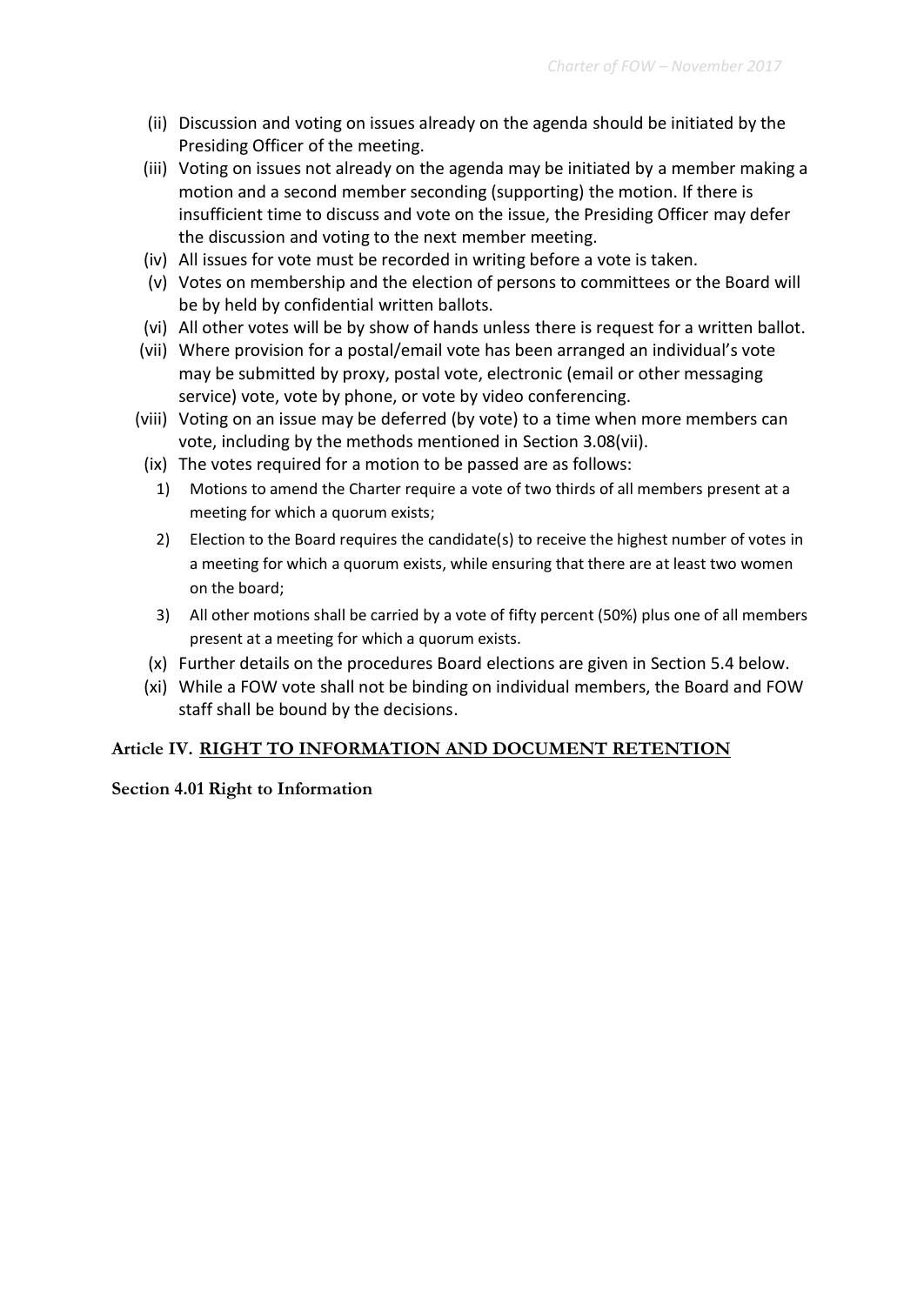- (ii) Discussion and voting on issues already on the agenda should be initiated by the Presiding Officer of the meeting.
- (iii) Voting on issues not already on the agenda may be initiated by a member making a motion and a second member seconding (supporting) the motion. If there is insufficient time to discuss and vote on the issue, the Presiding Officer may defer the discussion and voting to the next member meeting.
- (iv) All issues for vote must be recorded in writing before a vote is taken.
- (v) Votes on membership and the election of persons to committees or the Board will be by held by confidential written ballots.
- (vi) All other votes will be by show of hands unless there is request for a written ballot.
- (vii) Where provision for a postal/email vote has been arranged an individual's vote may be submitted by proxy, postal vote, electronic (email or other messaging service) vote, vote by phone, or vote by video conferencing.
- (viii) Voting on an issue may be deferred (by vote) to a time when more members can vote, including by the methods mentioned in Section 3.08(vii).
- (ix) The votes required for a motion to be passed are as follows:
	- 1) Motions to amend the Charter require a vote of two thirds of all members present at a meeting for which a quorum exists;
	- 2) Election to the Board requires the candidate(s) to receive the highest number of votes in a meeting for which a quorum exists, while ensuring that there are at least two women on the board;
	- 3) All other motions shall be carried by a vote of fifty percent (50%) plus one of all members present at a meeting for which a quorum exists.
- (x) Further details on the procedures Board elections are given in Section 5.4 below.
- (xi) While a FOW vote shall not be binding on individual members, the Board and FOW staff shall be bound by the decisions.

# **Article IV. RIGHT TO INFORMATION AND DOCUMENT RETENTION**

#### **Section 4.01 Right to Information**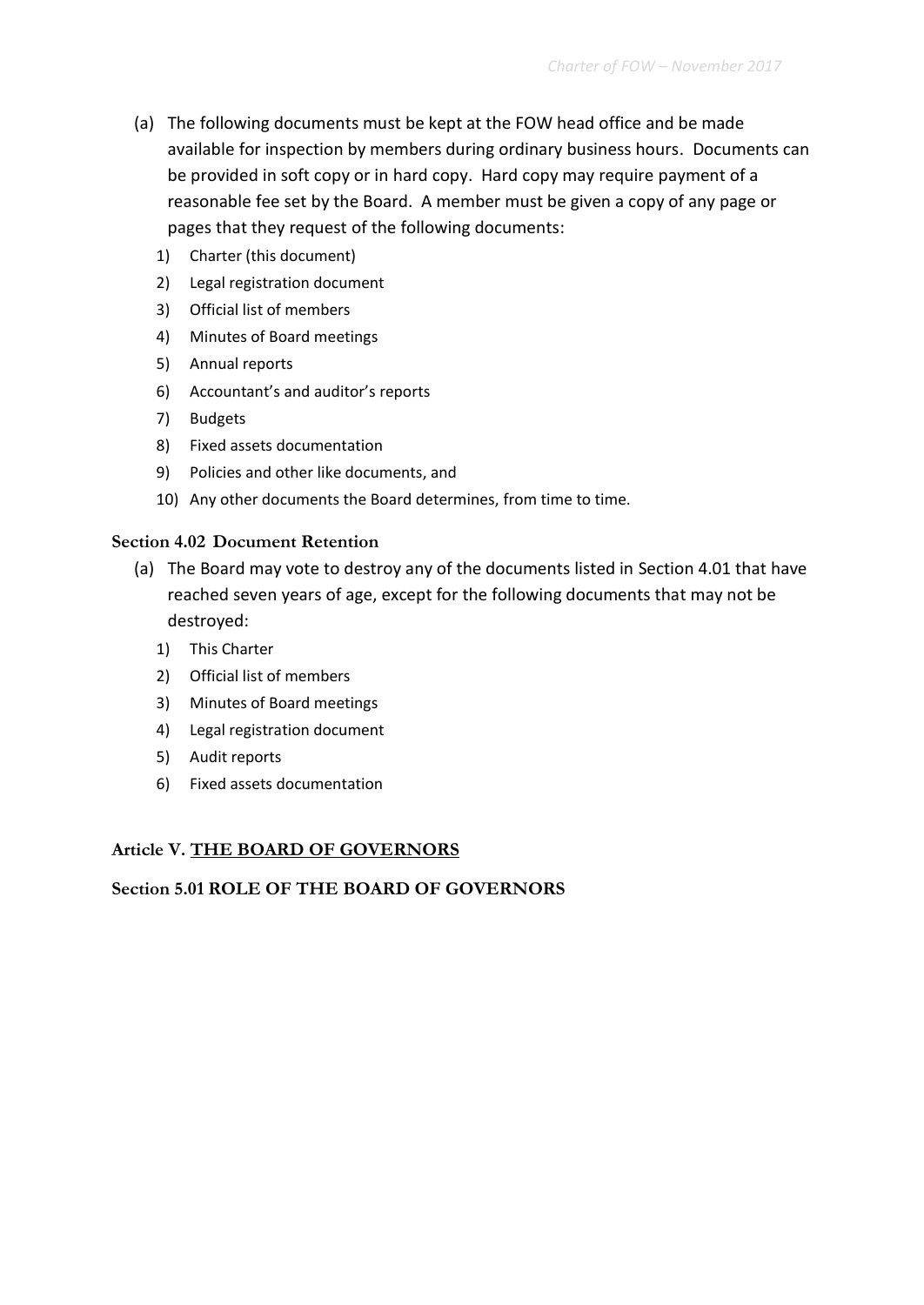- (a) The following documents must be kept at the FOW head office and be made available for inspection by members during ordinary business hours. Documents can be provided in soft copy or in hard copy. Hard copy may require payment of a reasonable fee set by the Board. A member must be given a copy of any page or pages that they request of the following documents:
	- 1) Charter (this document)
	- 2) Legal registration document
	- 3) Official list of members
	- 4) Minutes of Board meetings
	- 5) Annual reports
	- 6) Accountant's and auditor's reports
	- 7) Budgets
	- 8) Fixed assets documentation
	- 9) Policies and other like documents, and
	- 10) Any other documents the Board determines, from time to time.

#### **Section 4.02 Document Retention**

- (a) The Board may vote to destroy any of the documents listed in Section 4.01 that have reached seven years of age, except for the following documents that may not be destroyed:
	- 1) This Charter
	- 2) Official list of members
	- 3) Minutes of Board meetings
	- 4) Legal registration document
	- 5) Audit reports
	- 6) Fixed assets documentation

#### **Article V. THE BOARD OF GOVERNORS**

# **Section 5.01 ROLE OF THE BOARD OF GOVERNORS**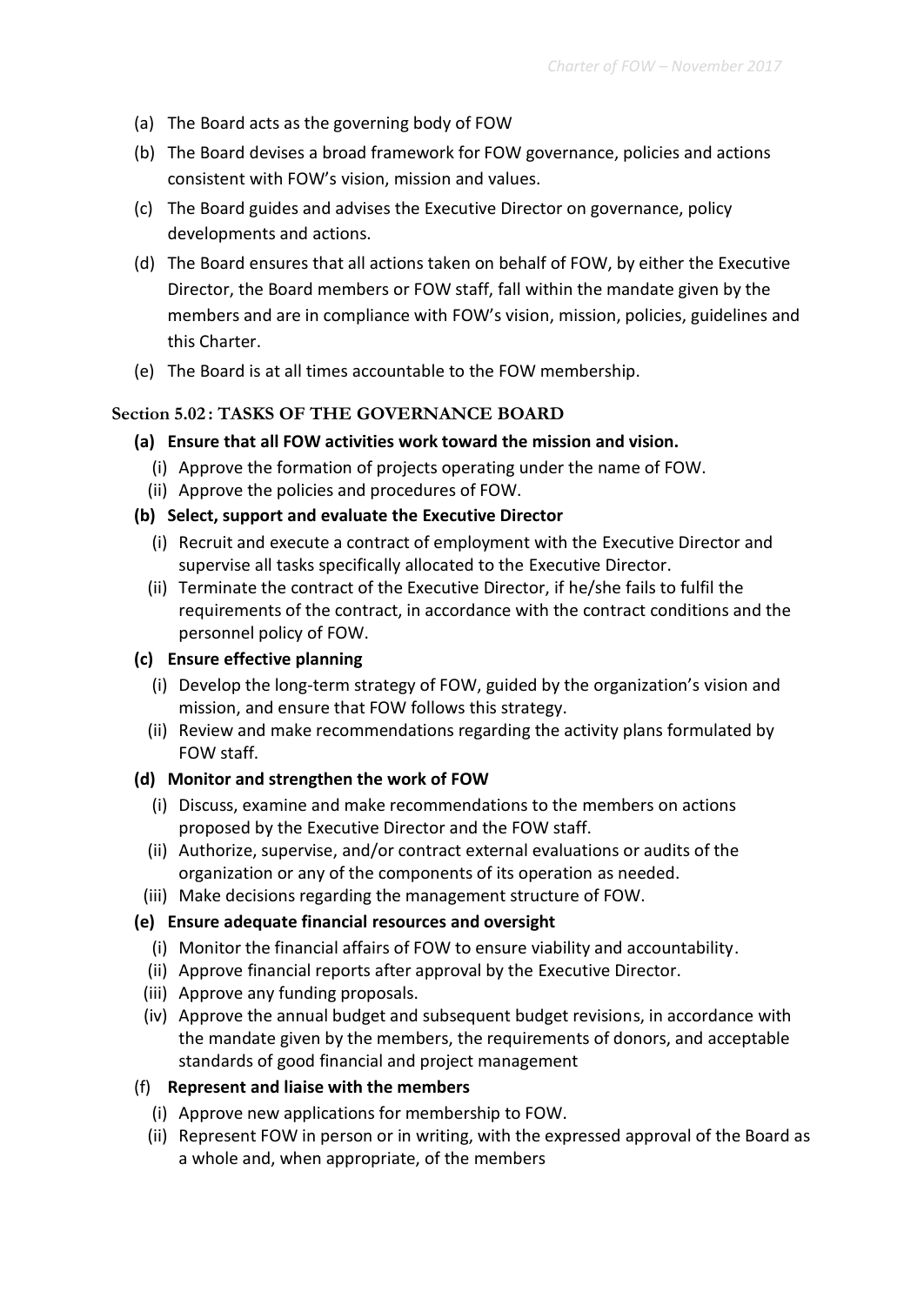- (a) The Board acts as the governing body of FOW
- (b) The Board devises a broad framework for FOW governance, policies and actions consistent with FOW's vision, mission and values.
- (c) The Board guides and advises the Executive Director on governance, policy developments and actions.
- (d) The Board ensures that all actions taken on behalf of FOW, by either the Executive Director, the Board members or FOW staff, fall within the mandate given by the members and are in compliance with FOW's vision, mission, policies, guidelines and this Charter.
- (e) The Board is at all times accountable to the FOW membership.

# **Section 5.02 : TASKS OF THE GOVERNANCE BOARD**

# **(a) Ensure that all FOW activities work toward the mission and vision.**

- (i) Approve the formation of projects operating under the name of FOW.
- (ii) Approve the policies and procedures of FOW.

# **(b) Select, support and evaluate the Executive Director**

- (i) Recruit and execute a contract of employment with the Executive Director and supervise all tasks specifically allocated to the Executive Director.
- (ii) Terminate the contract of the Executive Director, if he/she fails to fulfil the requirements of the contract, in accordance with the contract conditions and the personnel policy of FOW.

# **(c) Ensure effective planning**

- (i) Develop the long-term strategy of FOW, guided by the organization's vision and mission, and ensure that FOW follows this strategy.
- (ii) Review and make recommendations regarding the activity plans formulated by FOW staff.

# **(d) Monitor and strengthen the work of FOW**

- (i) Discuss, examine and make recommendations to the members on actions proposed by the Executive Director and the FOW staff.
- (ii) Authorize, supervise, and/or contract external evaluations or audits of the organization or any of the components of its operation as needed.
- (iii) Make decisions regarding the management structure of FOW.

# **(e) Ensure adequate financial resources and oversight**

- (i) Monitor the financial affairs of FOW to ensure viability and accountability.
- (ii) Approve financial reports after approval by the Executive Director.
- (iii) Approve any funding proposals.
- (iv) Approve the annual budget and subsequent budget revisions, in accordance with the mandate given by the members, the requirements of donors, and acceptable standards of good financial and project management

# (f) **Represent and liaise with the members**

- (i) Approve new applications for membership to FOW.
- (ii) Represent FOW in person or in writing, with the expressed approval of the Board as a whole and, when appropriate, of the members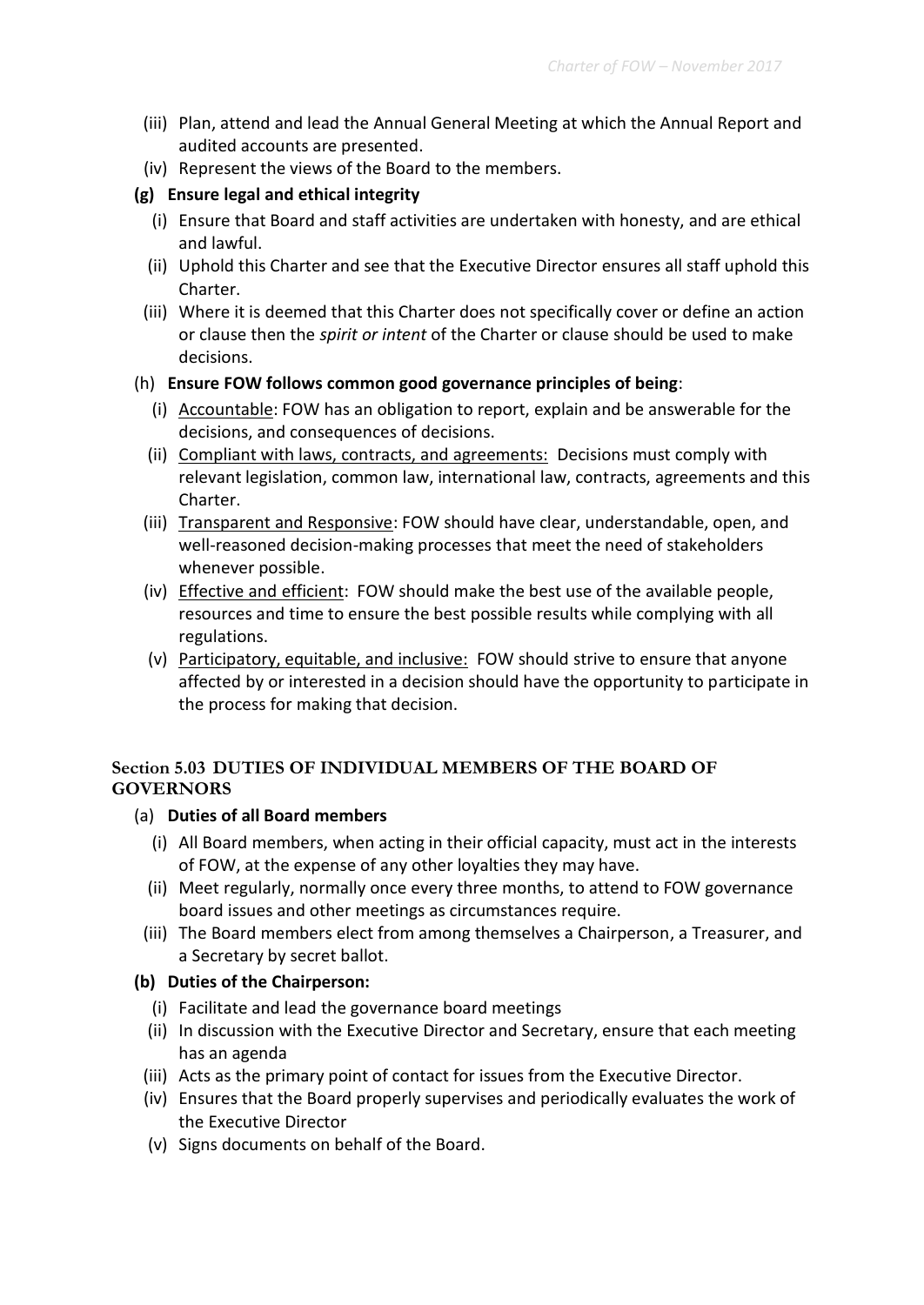- (iii) Plan, attend and lead the Annual General Meeting at which the Annual Report and audited accounts are presented.
- (iv) Represent the views of the Board to the members.

#### **(g) Ensure legal and ethical integrity**

- (i) Ensure that Board and staff activities are undertaken with honesty, and are ethical and lawful.
- (ii) Uphold this Charter and see that the Executive Director ensures all staff uphold this Charter.
- (iii) Where it is deemed that this Charter does not specifically cover or define an action or clause then the *spirit or intent* of the Charter or clause should be used to make decisions.

#### (h) **Ensure FOW follows common good governance principles of being**:

- (i) Accountable: FOW has an obligation to report, explain and be answerable for the decisions, and consequences of decisions.
- (ii) Compliant with laws, contracts, and agreements: Decisions must comply with relevant legislation, common law, international law, contracts, agreements and this Charter.
- (iii) Transparent and Responsive: FOW should have clear, understandable, open, and well-reasoned decision-making processes that meet the need of stakeholders whenever possible.
- (iv) Effective and efficient: FOW should make the best use of the available people, resources and time to ensure the best possible results while complying with all regulations.
- (v) Participatory, equitable, and inclusive: FOW should strive to ensure that anyone affected by or interested in a decision should have the opportunity to participate in the process for making that decision.

# **Section 5.03 DUTIES OF INDIVIDUAL MEMBERS OF THE BOARD OF GOVERNORS**

# (a) **Duties of all Board members**

- (i) All Board members, when acting in their official capacity, must act in the interests of FOW, at the expense of any other loyalties they may have.
- (ii) Meet regularly, normally once every three months, to attend to FOW governance board issues and other meetings as circumstances require.
- (iii) The Board members elect from among themselves a Chairperson, a Treasurer, and a Secretary by secret ballot.

#### **(b) Duties of the Chairperson:**

- (i) Facilitate and lead the governance board meetings
- (ii) In discussion with the Executive Director and Secretary, ensure that each meeting has an agenda
- (iii) Acts as the primary point of contact for issues from the Executive Director.
- (iv) Ensures that the Board properly supervises and periodically evaluates the work of the Executive Director
- (v) Signs documents on behalf of the Board.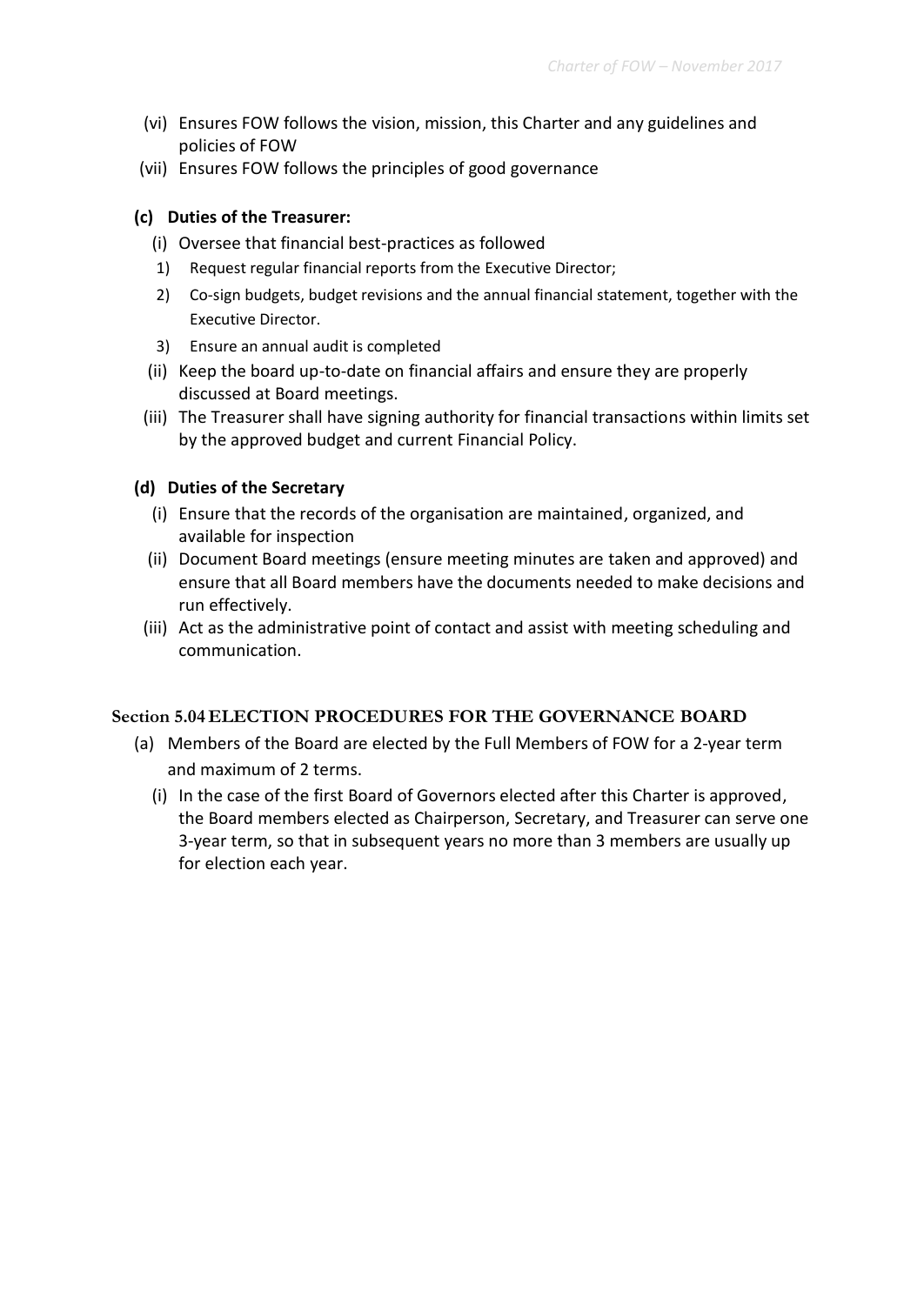- (vi) Ensures FOW follows the vision, mission, this Charter and any guidelines and policies of FOW
- (vii) Ensures FOW follows the principles of good governance

#### **(c) Duties of the Treasurer:**

- (i) Oversee that financial best-practices as followed
- 1) Request regular financial reports from the Executive Director;
- 2) Co-sign budgets, budget revisions and the annual financial statement, together with the Executive Director.
- 3) Ensure an annual audit is completed
- (ii) Keep the board up-to-date on financial affairs and ensure they are properly discussed at Board meetings.
- (iii) The Treasurer shall have signing authority for financial transactions within limits set by the approved budget and current Financial Policy.

#### **(d) Duties of the Secretary**

- (i) Ensure that the records of the organisation are maintained, organized, and available for inspection
- (ii) Document Board meetings (ensure meeting minutes are taken and approved) and ensure that all Board members have the documents needed to make decisions and run effectively.
- (iii) Act as the administrative point of contact and assist with meeting scheduling and communication.

# **Section 5.04 ELECTION PROCEDURES FOR THE GOVERNANCE BOARD**

- (a) Members of the Board are elected by the Full Members of FOW for a 2-year term and maximum of 2 terms.
	- (i) In the case of the first Board of Governors elected after this Charter is approved, the Board members elected as Chairperson, Secretary, and Treasurer can serve one 3-year term, so that in subsequent years no more than 3 members are usually up for election each year.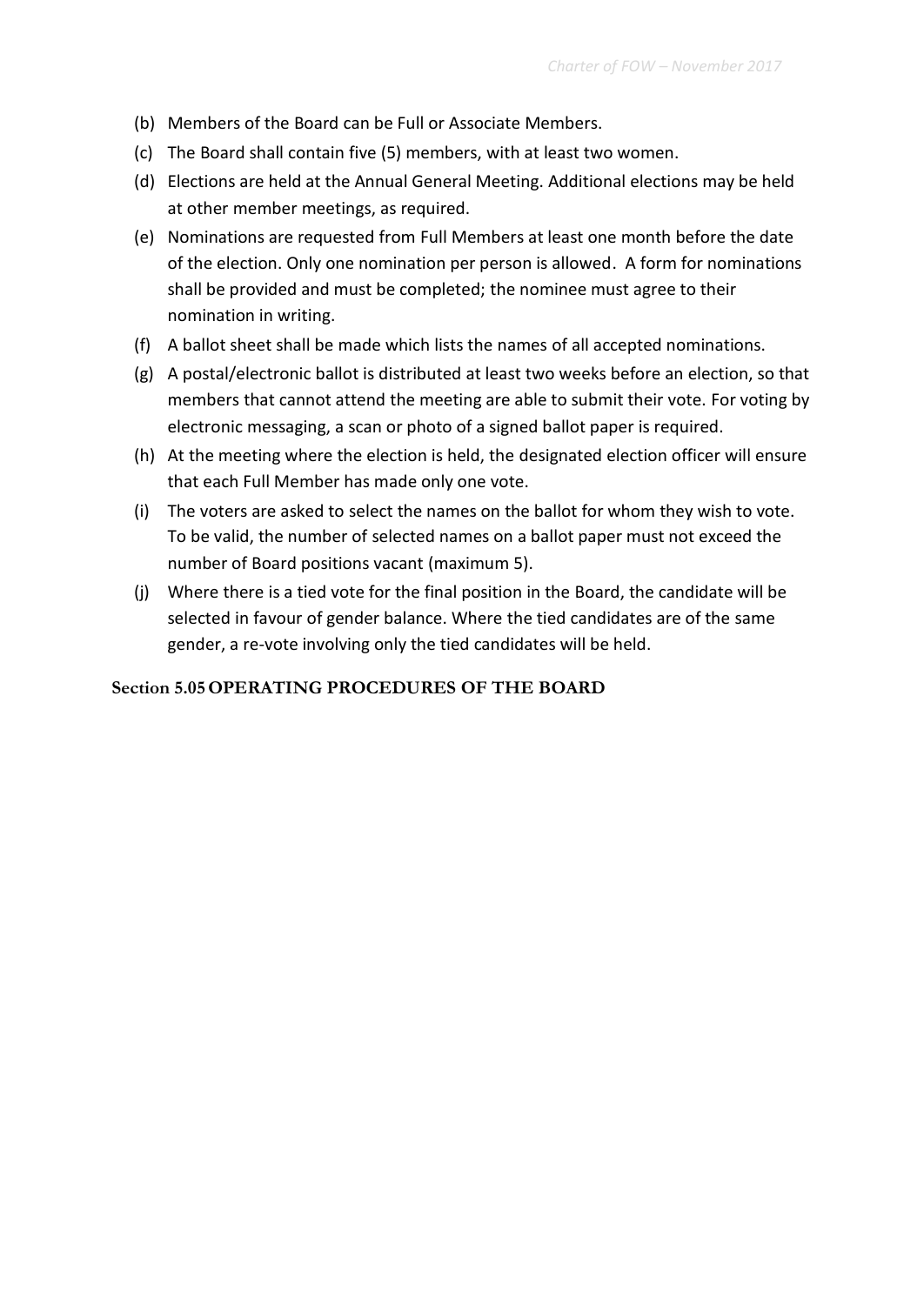- (b) Members of the Board can be Full or Associate Members.
- (c) The Board shall contain five (5) members, with at least two women.
- (d) Elections are held at the Annual General Meeting. Additional elections may be held at other member meetings, as required.
- (e) Nominations are requested from Full Members at least one month before the date of the election. Only one nomination per person is allowed. A form for nominations shall be provided and must be completed; the nominee must agree to their nomination in writing.
- (f) A ballot sheet shall be made which lists the names of all accepted nominations.
- (g) A postal/electronic ballot is distributed at least two weeks before an election, so that members that cannot attend the meeting are able to submit their vote. For voting by electronic messaging, a scan or photo of a signed ballot paper is required.
- (h) At the meeting where the election is held, the designated election officer will ensure that each Full Member has made only one vote.
- (i) The voters are asked to select the names on the ballot for whom they wish to vote. To be valid, the number of selected names on a ballot paper must not exceed the number of Board positions vacant (maximum 5).
- (j) Where there is a tied vote for the final position in the Board, the candidate will be selected in favour of gender balance. Where the tied candidates are of the same gender, a re-vote involving only the tied candidates will be held.

# **Section 5.05OPERATING PROCEDURES OF THE BOARD**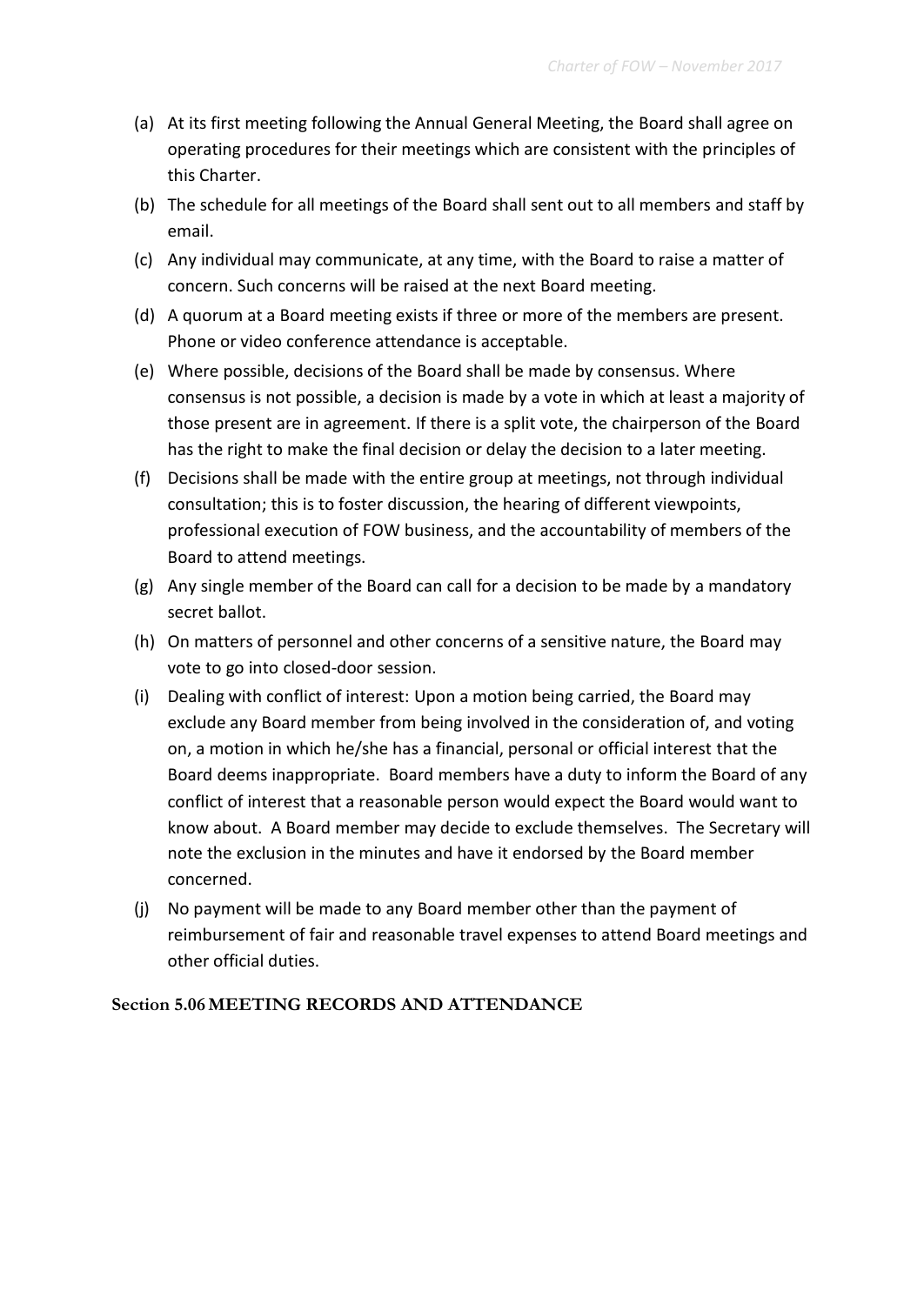- (a) At its first meeting following the Annual General Meeting, the Board shall agree on operating procedures for their meetings which are consistent with the principles of this Charter.
- (b) The schedule for all meetings of the Board shall sent out to all members and staff by email.
- (c) Any individual may communicate, at any time, with the Board to raise a matter of concern. Such concerns will be raised at the next Board meeting.
- (d) A quorum at a Board meeting exists if three or more of the members are present. Phone or video conference attendance is acceptable.
- (e) Where possible, decisions of the Board shall be made by consensus. Where consensus is not possible, a decision is made by a vote in which at least a majority of those present are in agreement. If there is a split vote, the chairperson of the Board has the right to make the final decision or delay the decision to a later meeting.
- (f) Decisions shall be made with the entire group at meetings, not through individual consultation; this is to foster discussion, the hearing of different viewpoints, professional execution of FOW business, and the accountability of members of the Board to attend meetings.
- (g) Any single member of the Board can call for a decision to be made by a mandatory secret ballot.
- (h) On matters of personnel and other concerns of a sensitive nature, the Board may vote to go into closed-door session.
- (i) Dealing with conflict of interest: Upon a motion being carried, the Board may exclude any Board member from being involved in the consideration of, and voting on, a motion in which he/she has a financial, personal or official interest that the Board deems inappropriate. Board members have a duty to inform the Board of any conflict of interest that a reasonable person would expect the Board would want to know about. A Board member may decide to exclude themselves. The Secretary will note the exclusion in the minutes and have it endorsed by the Board member concerned.
- (j) No payment will be made to any Board member other than the payment of reimbursement of fair and reasonable travel expenses to attend Board meetings and other official duties.

**Section 5.06MEETING RECORDS AND ATTENDANCE**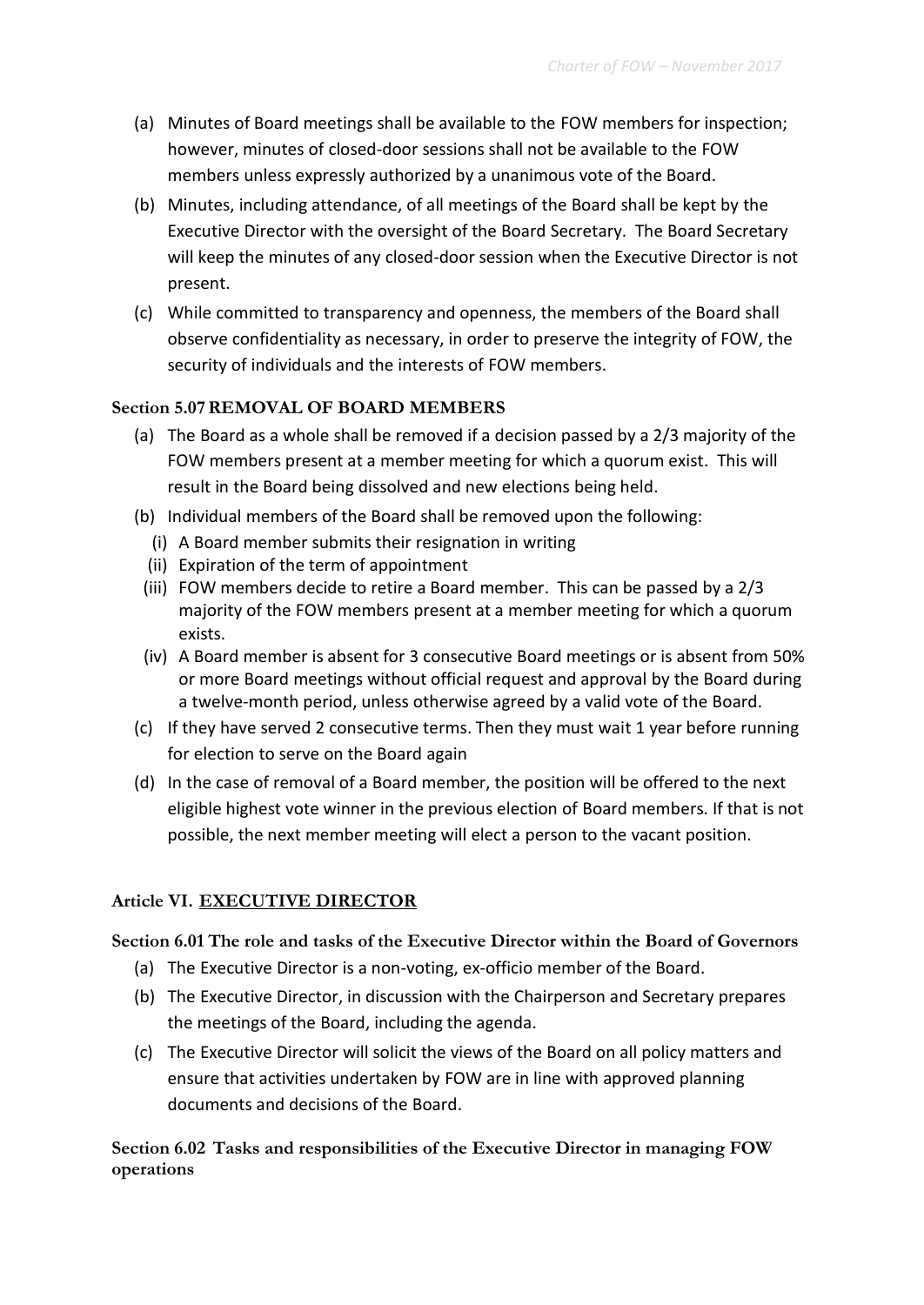- (a) Minutes of Board meetings shall be available to the FOW members for inspection; however, minutes of closed-door sessions shall not be available to the FOW members unless expressly authorized by a unanimous vote of the Board.
- (b) Minutes, including attendance, of all meetings of the Board shall be kept by the Executive Director with the oversight of the Board Secretary. The Board Secretary will keep the minutes of any closed-door session when the Executive Director is not present.
- (c) While committed to transparency and openness, the members of the Board shall observe confidentiality as necessary, in order to preserve the integrity of FOW, the security of individuals and the interests of FOW members.

# **Section 5.07REMOVAL OF BOARD MEMBERS**

- (a) The Board as a whole shall be removed if a decision passed by a 2/3 majority of the FOW members present at a member meeting for which a quorum exist. This will result in the Board being dissolved and new elections being held.
- (b) Individual members of the Board shall be removed upon the following:
	- (i) A Board member submits their resignation in writing
	- (ii) Expiration of the term of appointment
	- (iii) FOW members decide to retire a Board member. This can be passed by a 2/3 majority of the FOW members present at a member meeting for which a quorum exists.
	- (iv) A Board member is absent for 3 consecutive Board meetings or is absent from 50% or more Board meetings without official request and approval by the Board during a twelve-month period, unless otherwise agreed by a valid vote of the Board.
- (c) If they have served 2 consecutive terms. Then they must wait 1 year before running for election to serve on the Board again
- (d) In the case of removal of a Board member, the position will be offered to the next eligible highest vote winner in the previous election of Board members. If that is not possible, the next member meeting will elect a person to the vacant position.

# **Article VI. EXECUTIVE DIRECTOR**

# **Section 6.01 The role and tasks of the Executive Director within the Board of Governors**

- (a) The Executive Director is a non-voting, ex-officio member of the Board.
- (b) The Executive Director, in discussion with the Chairperson and Secretary prepares the meetings of the Board, including the agenda.
- (c) The Executive Director will solicit the views of the Board on all policy matters and ensure that activities undertaken by FOW are in line with approved planning documents and decisions of the Board.

# **Section 6.02 Tasks and responsibilities of the Executive Director in managing FOW operations**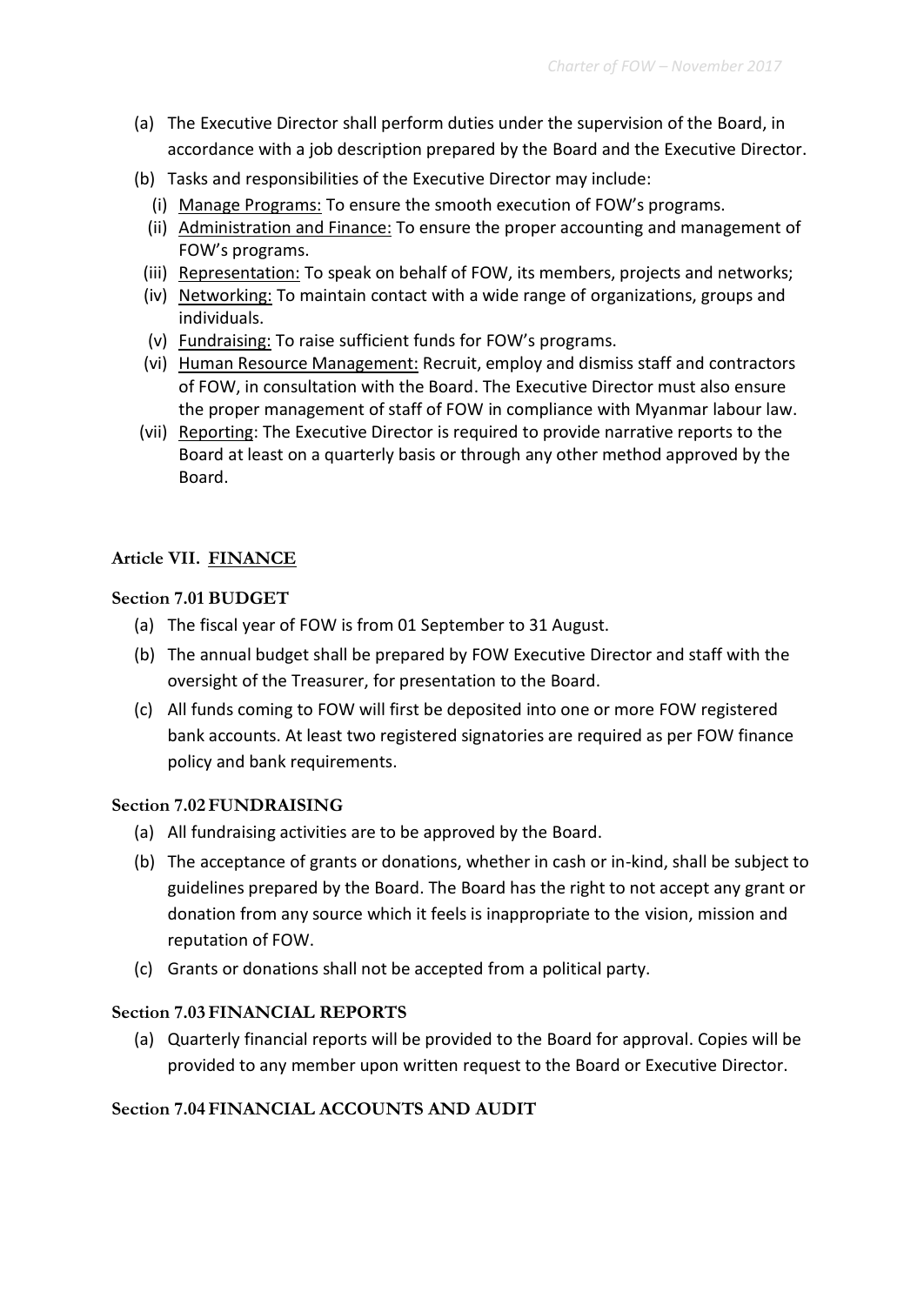- (a) The Executive Director shall perform duties under the supervision of the Board, in accordance with a job description prepared by the Board and the Executive Director.
- (b) Tasks and responsibilities of the Executive Director may include:
	- (i) Manage Programs: To ensure the smooth execution of FOW's programs.
	- (ii) Administration and Finance: To ensure the proper accounting and management of FOW's programs.
	- (iii) Representation: To speak on behalf of FOW, its members, projects and networks;
	- (iv) Networking: To maintain contact with a wide range of organizations, groups and individuals.
	- (v) Fundraising: To raise sufficient funds for FOW's programs.
	- (vi) Human Resource Management: Recruit, employ and dismiss staff and contractors of FOW, in consultation with the Board. The Executive Director must also ensure the proper management of staff of FOW in compliance with Myanmar labour law.
- (vii) Reporting: The Executive Director is required to provide narrative reports to the Board at least on a quarterly basis or through any other method approved by the Board.

#### **Article VII. FINANCE**

#### **Section 7.01 BUDGET**

- (a) The fiscal year of FOW is from 01 September to 31 August.
- (b) The annual budget shall be prepared by FOW Executive Director and staff with the oversight of the Treasurer, for presentation to the Board.
- (c) All funds coming to FOW will first be deposited into one or more FOW registered bank accounts. At least two registered signatories are required as per FOW finance policy and bank requirements.

#### **Section 7.02FUNDRAISING**

- (a) All fundraising activities are to be approved by the Board.
- (b) The acceptance of grants or donations, whether in cash or in-kind, shall be subject to guidelines prepared by the Board. The Board has the right to not accept any grant or donation from any source which it feels is inappropriate to the vision, mission and reputation of FOW.
- (c) Grants or donations shall not be accepted from a political party.

#### **Section 7.03FINANCIAL REPORTS**

(a) Quarterly financial reports will be provided to the Board for approval. Copies will be provided to any member upon written request to the Board or Executive Director.

#### **Section 7.04FINANCIAL ACCOUNTS AND AUDIT**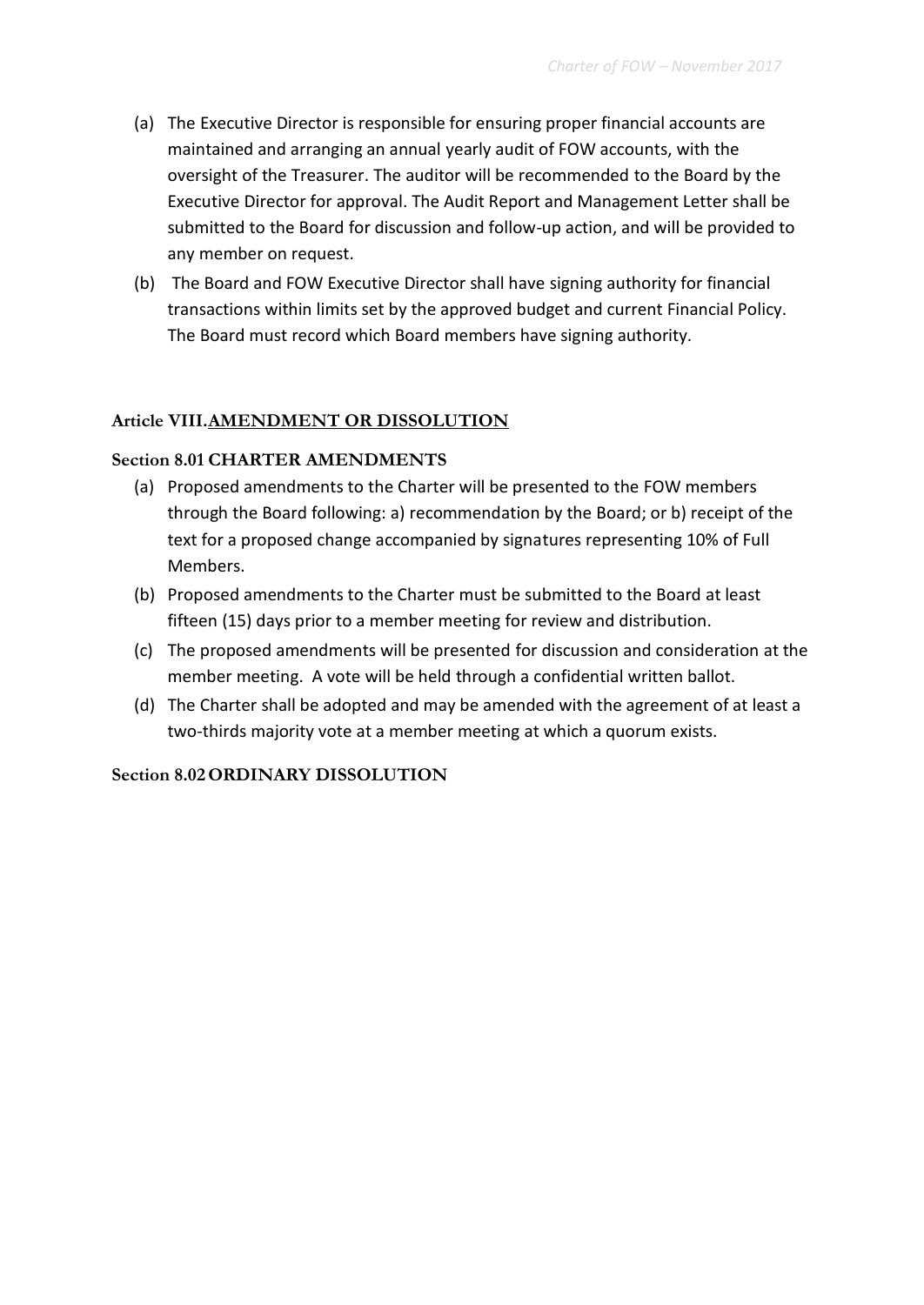- (a) The Executive Director is responsible for ensuring proper financial accounts are maintained and arranging an annual yearly audit of FOW accounts, with the oversight of the Treasurer. The auditor will be recommended to the Board by the Executive Director for approval. The Audit Report and Management Letter shall be submitted to the Board for discussion and follow-up action, and will be provided to any member on request.
- (b) The Board and FOW Executive Director shall have signing authority for financial transactions within limits set by the approved budget and current Financial Policy. The Board must record which Board members have signing authority.

# **Article VIII.AMENDMENT OR DISSOLUTION**

#### **Section 8.01 CHARTER AMENDMENTS**

- (a) Proposed amendments to the Charter will be presented to the FOW members through the Board following: a) recommendation by the Board; or b) receipt of the text for a proposed change accompanied by signatures representing 10% of Full Members.
- (b) Proposed amendments to the Charter must be submitted to the Board at least fifteen (15) days prior to a member meeting for review and distribution.
- (c) The proposed amendments will be presented for discussion and consideration at the member meeting. A vote will be held through a confidential written ballot.
- (d) The Charter shall be adopted and may be amended with the agreement of at least a two-thirds majority vote at a member meeting at which a quorum exists.

#### **Section 8.02ORDINARY DISSOLUTION**